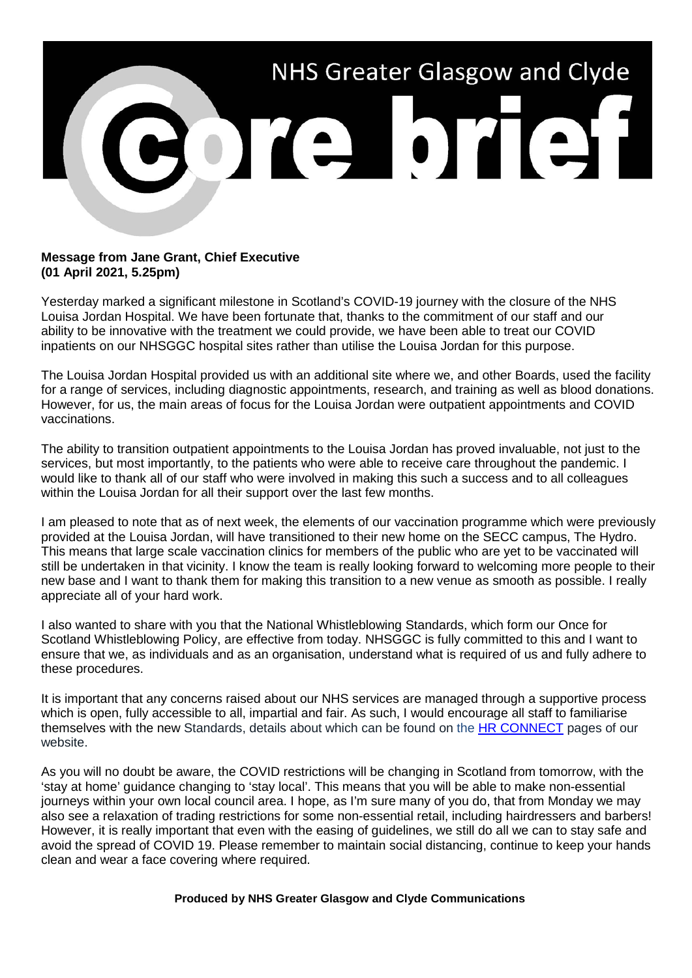

## **Message from Jane Grant, Chief Executive (01 April 2021, 5.25pm)**

Yesterday marked a significant milestone in Scotland's COVID-19 journey with the closure of the NHS Louisa Jordan Hospital. We have been fortunate that, thanks to the commitment of our staff and our ability to be innovative with the treatment we could provide, we have been able to treat our COVID inpatients on our NHSGGC hospital sites rather than utilise the Louisa Jordan for this purpose.

The Louisa Jordan Hospital provided us with an additional site where we, and other Boards, used the facility for a range of services, including diagnostic appointments, research, and training as well as blood donations. However, for us, the main areas of focus for the Louisa Jordan were outpatient appointments and COVID vaccinations.

The ability to transition outpatient appointments to the Louisa Jordan has proved invaluable, not just to the services, but most importantly, to the patients who were able to receive care throughout the pandemic. I would like to thank all of our staff who were involved in making this such a success and to all colleagues within the Louisa Jordan for all their support over the last few months.

I am pleased to note that as of next week, the elements of our vaccination programme which were previously provided at the Louisa Jordan, will have transitioned to their new home on the SECC campus, The Hydro. This means that large scale vaccination clinics for members of the public who are yet to be vaccinated will still be undertaken in that vicinity. I know the team is really looking forward to welcoming more people to their new base and I want to thank them for making this transition to a new venue as smooth as possible. I really appreciate all of your hard work.

I also wanted to share with you that the National Whistleblowing Standards, which form our Once for Scotland Whistleblowing Policy, are effective from today. NHSGGC is fully committed to this and I want to ensure that we, as individuals and as an organisation, understand what is required of us and fully adhere to these procedures.

It is important that any concerns raised about our NHS services are managed through a supportive process which is open, fully accessible to all, impartial and fair. As such, I would encourage all staff to familiarise themselves with the new Standards, details about which can be found on the [HR CONNECT](http://www.nhsggc.org.uk/working-with-us/hr-connect/policies-and-staff-governance/policies/whistleblowing-policy/)) pages of our website.

As you will no doubt be aware, the COVID restrictions will be changing in Scotland from tomorrow, with the 'stay at home' guidance changing to 'stay local'. This means that you will be able to make non-essential journeys within your own local council area. I hope, as I'm sure many of you do, that from Monday we may also see a relaxation of trading restrictions for some non-essential retail, including hairdressers and barbers! However, it is really important that even with the easing of guidelines, we still do all we can to stay safe and avoid the spread of COVID 19. Please remember to maintain social distancing, continue to keep your hands clean and wear a face covering where required.

## **Produced by NHS Greater Glasgow and Clyde Communications**